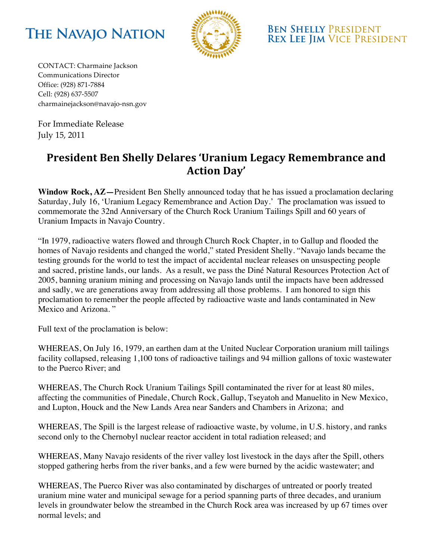



**BEN SHELLY PRESIDENT REX LEE JIM VICE PRESIDENT** 

CONTACT: Charmaine Jackson Communications'Director Office: (928) 871-7884 Cell: (928) 637-5507 charmainejackson@navajo-nsn.gov

For Immediate Release July 15, 2011

## President Ben Shelly Delares 'Uranium Legacy Remembrance and Action Dav'

**Window Rock, AZ—**President Ben Shelly announced today that he has issued a proclamation declaring Saturday, July 16, 'Uranium Legacy Remembrance and Action Day.' The proclamation was issued to commemorate the 32nd Anniversary of the Church Rock Uranium Tailings Spill and 60 years of Uranium Impacts in Navajo Country.

"In 1979, radioactive waters flowed and through Church Rock Chapter, in to Gallup and flooded the homes of Navajo residents and changed the world," stated President Shelly. "Navajo lands became the testing grounds for the world to test the impact of accidental nuclear releases on unsuspecting people and sacred, pristine lands, our lands. As a result, we pass the Diné Natural Resources Protection Act of 2005, banning uranium mining and processing on Navajo lands until the impacts have been addressed and sadly, we are generations away from addressing all those problems. I am honored to sign this proclamation to remember the people affected by radioactive waste and lands contaminated in New Mexico and Arizona. "

Full text of the proclamation is below:

WHEREAS, On July 16, 1979, an earthen dam at the United Nuclear Corporation uranium mill tailings facility collapsed, releasing 1,100 tons of radioactive tailings and 94 million gallons of toxic wastewater to the Puerco River; and

WHEREAS, The Church Rock Uranium Tailings Spill contaminated the river for at least 80 miles, affecting the communities of Pinedale, Church Rock, Gallup, Tseyatoh and Manuelito in New Mexico, and Lupton, Houck and the New Lands Area near Sanders and Chambers in Arizona; and

WHEREAS, The Spill is the largest release of radioactive waste, by volume, in U.S. history, and ranks second only to the Chernobyl nuclear reactor accident in total radiation released; and

WHEREAS, Many Navajo residents of the river valley lost livestock in the days after the Spill, others stopped gathering herbs from the river banks, and a few were burned by the acidic wastewater; and

WHEREAS, The Puerco River was also contaminated by discharges of untreated or poorly treated uranium mine water and municipal sewage for a period spanning parts of three decades, and uranium levels in groundwater below the streambed in the Church Rock area was increased by up 67 times over normal levels; and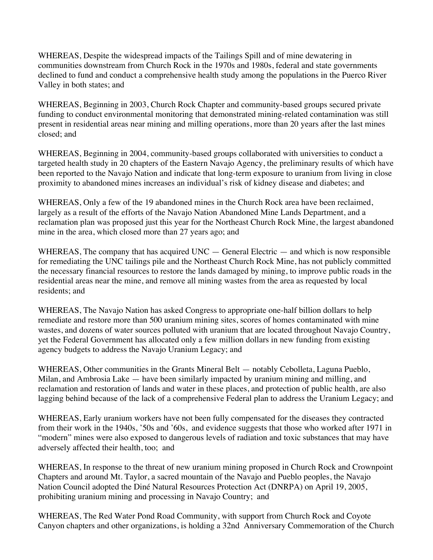WHEREAS, Despite the widespread impacts of the Tailings Spill and of mine dewatering in communities downstream from Church Rock in the 1970s and 1980s, federal and state governments declined to fund and conduct a comprehensive health study among the populations in the Puerco River Valley in both states; and

WHEREAS, Beginning in 2003, Church Rock Chapter and community-based groups secured private funding to conduct environmental monitoring that demonstrated mining-related contamination was still present in residential areas near mining and milling operations, more than 20 years after the last mines closed; and

WHEREAS, Beginning in 2004, community-based groups collaborated with universities to conduct a targeted health study in 20 chapters of the Eastern Navajo Agency, the preliminary results of which have been reported to the Navajo Nation and indicate that long-term exposure to uranium from living in close proximity to abandoned mines increases an individual's risk of kidney disease and diabetes; and

WHEREAS, Only a few of the 19 abandoned mines in the Church Rock area have been reclaimed, largely as a result of the efforts of the Navajo Nation Abandoned Mine Lands Department, and a reclamation plan was proposed just this year for the Northeast Church Rock Mine, the largest abandoned mine in the area, which closed more than 27 years ago; and

WHEREAS, The company that has acquired UNC — General Electric — and which is now responsible for remediating the UNC tailings pile and the Northeast Church Rock Mine, has not publicly committed the necessary financial resources to restore the lands damaged by mining, to improve public roads in the residential areas near the mine, and remove all mining wastes from the area as requested by local residents; and

WHEREAS, The Navajo Nation has asked Congress to appropriate one-half billion dollars to help remediate and restore more than 500 uranium mining sites, scores of homes contaminated with mine wastes, and dozens of water sources polluted with uranium that are located throughout Navajo Country, yet the Federal Government has allocated only a few million dollars in new funding from existing agency budgets to address the Navajo Uranium Legacy; and

WHEREAS, Other communities in the Grants Mineral Belt — notably Cebolleta, Laguna Pueblo, Milan, and Ambrosia Lake — have been similarly impacted by uranium mining and milling, and reclamation and restoration of lands and water in these places, and protection of public health, are also lagging behind because of the lack of a comprehensive Federal plan to address the Uranium Legacy; and

WHEREAS, Early uranium workers have not been fully compensated for the diseases they contracted from their work in the 1940s, '50s and '60s, and evidence suggests that those who worked after 1971 in "modern" mines were also exposed to dangerous levels of radiation and toxic substances that may have adversely affected their health, too; and

WHEREAS, In response to the threat of new uranium mining proposed in Church Rock and Crownpoint Chapters and around Mt. Taylor, a sacred mountain of the Navajo and Pueblo peoples, the Navajo Nation Council adopted the Diné Natural Resources Protection Act (DNRPA) on April 19, 2005, prohibiting uranium mining and processing in Navajo Country; and

WHEREAS, The Red Water Pond Road Community, with support from Church Rock and Coyote Canyon chapters and other organizations, is holding a 32nd Anniversary Commemoration of the Church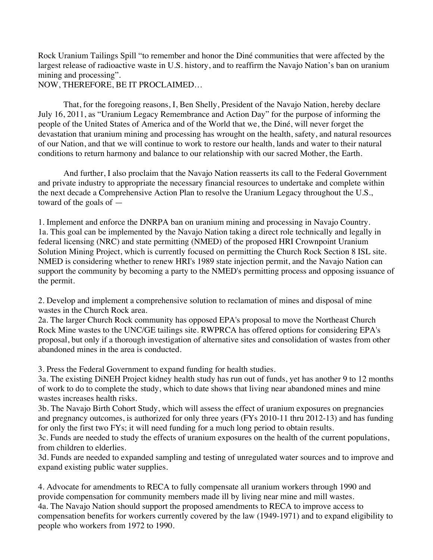Rock Uranium Tailings Spill "to remember and honor the Diné communities that were affected by the largest release of radioactive waste in U.S. history, and to reaffirm the Navajo Nation's ban on uranium mining and processing".

NOW, THEREFORE, BE IT PROCLAIMED…

That, for the foregoing reasons, I, Ben Shelly, President of the Navajo Nation, hereby declare July 16, 2011, as "Uranium Legacy Remembrance and Action Day" for the purpose of informing the people of the United States of America and of the World that we, the Diné, will never forget the devastation that uranium mining and processing has wrought on the health, safety, and natural resources of our Nation, and that we will continue to work to restore our health, lands and water to their natural conditions to return harmony and balance to our relationship with our sacred Mother, the Earth.

And further, I also proclaim that the Navajo Nation reasserts its call to the Federal Government and private industry to appropriate the necessary financial resources to undertake and complete within the next decade a Comprehensive Action Plan to resolve the Uranium Legacy throughout the U.S., toward of the goals of —

1. Implement and enforce the DNRPA ban on uranium mining and processing in Navajo Country. 1a. This goal can be implemented by the Navajo Nation taking a direct role technically and legally in federal licensing (NRC) and state permitting (NMED) of the proposed HRI Crownpoint Uranium Solution Mining Project, which is currently focused on permitting the Church Rock Section 8 ISL site. NMED is considering whether to renew HRI's 1989 state injection permit, and the Navajo Nation can support the community by becoming a party to the NMED's permitting process and opposing issuance of the permit.

2. Develop and implement a comprehensive solution to reclamation of mines and disposal of mine wastes in the Church Rock area.

2a. The larger Church Rock community has opposed EPA's proposal to move the Northeast Church Rock Mine wastes to the UNC/GE tailings site. RWPRCA has offered options for considering EPA's proposal, but only if a thorough investigation of alternative sites and consolidation of wastes from other abandoned mines in the area is conducted.

3. Press the Federal Government to expand funding for health studies.

3a. The existing DiNEH Project kidney health study has run out of funds, yet has another 9 to 12 months of work to do to complete the study, which to date shows that living near abandoned mines and mine wastes increases health risks.

3b. The Navajo Birth Cohort Study, which will assess the effect of uranium exposures on pregnancies and pregnancy outcomes, is authorized for only three years (FYs 2010-11 thru 2012-13) and has funding for only the first two FYs; it will need funding for a much long period to obtain results.

3c. Funds are needed to study the effects of uranium exposures on the health of the current populations, from children to elderlies.

3d. Funds are needed to expanded sampling and testing of unregulated water sources and to improve and expand existing public water supplies.

4. Advocate for amendments to RECA to fully compensate all uranium workers through 1990 and provide compensation for community members made ill by living near mine and mill wastes. 4a. The Navajo Nation should support the proposed amendments to RECA to improve access to compensation benefits for workers currently covered by the law (1949-1971) and to expand eligibility to people who workers from 1972 to 1990.